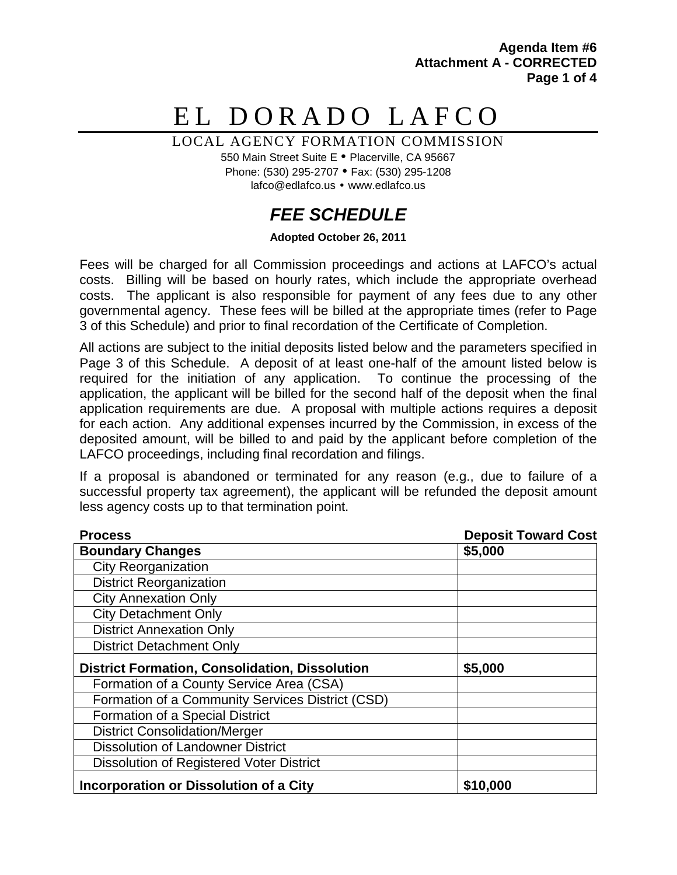**Agenda Item #6 Attachment A - CORRECTED Page 1 of 4**

# EL DORADO LAFCO

LOCAL AGENCY FORMATION COMMISSION

550 Main Street Suite E · Placerville, CA 95667 Phone: (530) 295-2707 Fax: (530) 295-1208 lafco@edlafco.us • www.edlafco.us

# *FEE SCHEDULE*

#### **Adopted October 26, 2011**

Fees will be charged for all Commission proceedings and actions at LAFCO's actual costs. Billing will be based on hourly rates, which include the appropriate overhead costs. The applicant is also responsible for payment of any fees due to any other governmental agency. These fees will be billed at the appropriate times (refer to Page 3 of this Schedule) and prior to final recordation of the Certificate of Completion.

All actions are subject to the initial deposits listed below and the parameters specified in Page 3 of this Schedule. A deposit of at least one-half of the amount listed below is required for the initiation of any application. To continue the processing of the application, the applicant will be billed for the second half of the deposit when the final application requirements are due. A proposal with multiple actions requires a deposit for each action. Any additional expenses incurred by the Commission, in excess of the deposited amount, will be billed to and paid by the applicant before completion of the LAFCO proceedings, including final recordation and filings.

If a proposal is abandoned or terminated for any reason (e.g., due to failure of a successful property tax agreement), the applicant will be refunded the deposit amount less agency costs up to that termination point.

| <b>Process</b>                                        | <b>Deposit Toward Cost</b> |
|-------------------------------------------------------|----------------------------|
| <b>Boundary Changes</b>                               | \$5,000                    |
| <b>City Reorganization</b>                            |                            |
| <b>District Reorganization</b>                        |                            |
| <b>City Annexation Only</b>                           |                            |
| <b>City Detachment Only</b>                           |                            |
| <b>District Annexation Only</b>                       |                            |
| <b>District Detachment Only</b>                       |                            |
| <b>District Formation, Consolidation, Dissolution</b> | \$5,000                    |
| Formation of a County Service Area (CSA)              |                            |
| Formation of a Community Services District (CSD)      |                            |
| Formation of a Special District                       |                            |
| <b>District Consolidation/Merger</b>                  |                            |
| <b>Dissolution of Landowner District</b>              |                            |
| Dissolution of Registered Voter District              |                            |
| Incorporation or Dissolution of a City                | \$10,000                   |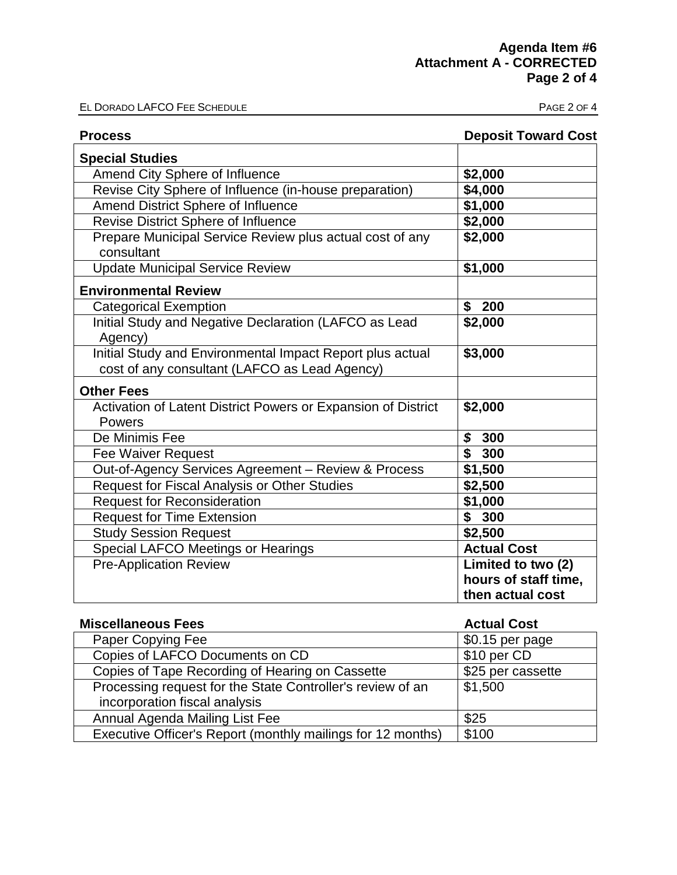EL DORADO LAFCO FEE SCHEDULE **EL DORADO LAFCO FEE SCHEDULE** 

| <b>Process</b>                                                                 | <b>Deposit Toward Cost</b> |
|--------------------------------------------------------------------------------|----------------------------|
| <b>Special Studies</b>                                                         |                            |
| Amend City Sphere of Influence                                                 | \$2,000                    |
| Revise City Sphere of Influence (in-house preparation)                         | \$4,000                    |
| Amend District Sphere of Influence                                             | \$1,000                    |
| Revise District Sphere of Influence                                            | \$2,000                    |
| Prepare Municipal Service Review plus actual cost of any<br>consultant         | \$2,000                    |
| <b>Update Municipal Service Review</b>                                         | \$1,000                    |
| <b>Environmental Review</b>                                                    |                            |
| <b>Categorical Exemption</b>                                                   | \$<br>200                  |
| Initial Study and Negative Declaration (LAFCO as Lead                          | \$2,000                    |
| Agency)                                                                        |                            |
| Initial Study and Environmental Impact Report plus actual                      | \$3,000                    |
| cost of any consultant (LAFCO as Lead Agency)                                  |                            |
| <b>Other Fees</b>                                                              |                            |
| Activation of Latent District Powers or Expansion of District<br><b>Powers</b> | \$2,000                    |
| De Minimis Fee                                                                 | \$300                      |
| <b>Fee Waiver Request</b>                                                      | \$<br>300                  |
| Out-of-Agency Services Agreement - Review & Process                            | \$1,500                    |
| Request for Fiscal Analysis or Other Studies                                   | \$2,500                    |
| <b>Request for Reconsideration</b>                                             | \$1,000                    |
| <b>Request for Time Extension</b>                                              | \$300                      |
| <b>Study Session Request</b>                                                   | \$2,500                    |
| <b>Special LAFCO Meetings or Hearings</b>                                      | <b>Actual Cost</b>         |
| <b>Pre-Application Review</b>                                                  | Limited to two (2)         |
|                                                                                | hours of staff time,       |
|                                                                                | then actual cost           |

| <b>Miscellaneous Fees</b>                                   | <b>Actual Cost</b> |
|-------------------------------------------------------------|--------------------|
| Paper Copying Fee                                           | $$0.15$ per page   |
| Copies of LAFCO Documents on CD                             | \$10 per CD        |
| Copies of Tape Recording of Hearing on Cassette             | \$25 per cassette  |
| Processing request for the State Controller's review of an  | \$1,500            |
| incorporation fiscal analysis                               |                    |
| Annual Agenda Mailing List Fee                              | \$25               |
| Executive Officer's Report (monthly mailings for 12 months) | \$100              |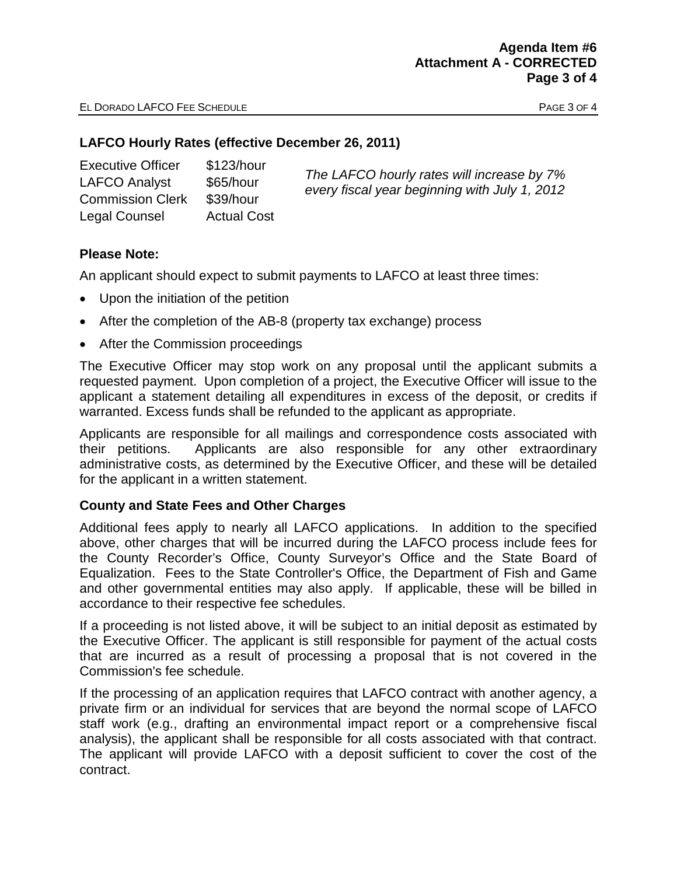### **LAFCO Hourly Rates (effective December 26, 2011)**

| <b>Executive Officer</b> | \$123/hour         | The LAFCO hourly rates will increase by 7%<br>every fiscal year beginning with July 1, 2012 |
|--------------------------|--------------------|---------------------------------------------------------------------------------------------|
| <b>LAFCO Analyst</b>     | \$65/hour          |                                                                                             |
| <b>Commission Clerk</b>  | \$39/hour          |                                                                                             |
| Legal Counsel            | <b>Actual Cost</b> |                                                                                             |

# **Please Note:**

An applicant should expect to submit payments to LAFCO at least three times:

- Upon the initiation of the petition
- After the completion of the AB-8 (property tax exchange) process
- After the Commission proceedings

The Executive Officer may stop work on any proposal until the applicant submits a requested payment. Upon completion of a project, the Executive Officer will issue to the applicant a statement detailing all expenditures in excess of the deposit, or credits if warranted. Excess funds shall be refunded to the applicant as appropriate.

Applicants are responsible for all mailings and correspondence costs associated with their petitions. Applicants are also responsible for any other extraordinary administrative costs, as determined by the Executive Officer, and these will be detailed for the applicant in a written statement.

# **County and State Fees and Other Charges**

Additional fees apply to nearly all LAFCO applications. In addition to the specified above, other charges that will be incurred during the LAFCO process include fees for the County Recorder's Office, County Surveyor's Office and the State Board of Equalization. Fees to the State Controller's Office, the Department of Fish and Game and other governmental entities may also apply. If applicable, these will be billed in accordance to their respective fee schedules.

If a proceeding is not listed above, it will be subject to an initial deposit as estimated by the Executive Officer. The applicant is still responsible for payment of the actual costs that are incurred as a result of processing a proposal that is not covered in the Commission's fee schedule.

If the processing of an application requires that LAFCO contract with another agency, a private firm or an individual for services that are beyond the normal scope of LAFCO staff work (e.g., drafting an environmental impact report or a comprehensive fiscal analysis), the applicant shall be responsible for all costs associated with that contract. The applicant will provide LAFCO with a deposit sufficient to cover the cost of the contract.